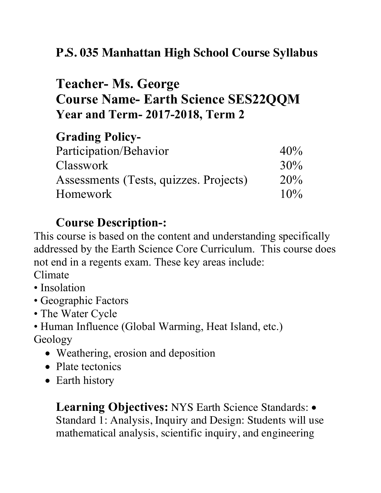## **P.S. 035 Manhattan High School Course Syllabus**

## **Teacher- Ms. George Course Name- Earth Science SES22QQM Year and Term- 2017-2018, Term 2**

## **Grading Policy-**

| Participation/Behavior                 | 40% |
|----------------------------------------|-----|
| <b>Classwork</b>                       | 30% |
| Assessments (Tests, quizzes. Projects) | 20% |
| <b>Homework</b>                        | 10% |

## **Course Description-:**

This course is based on the content and understanding specifically addressed by the Earth Science Core Curriculum. This course does not end in a regents exam. These key areas include: Climate

- Insolation
- Geographic Factors
- The Water Cycle
- Human Influence (Global Warming, Heat Island, etc.) Geology
	- Weathering, erosion and deposition
	- Plate tectonics
	- Earth history

**Learning Objectives:** NYS Earth Science Standards: • Standard 1: Analysis, Inquiry and Design: Students will use mathematical analysis, scientific inquiry, and engineering